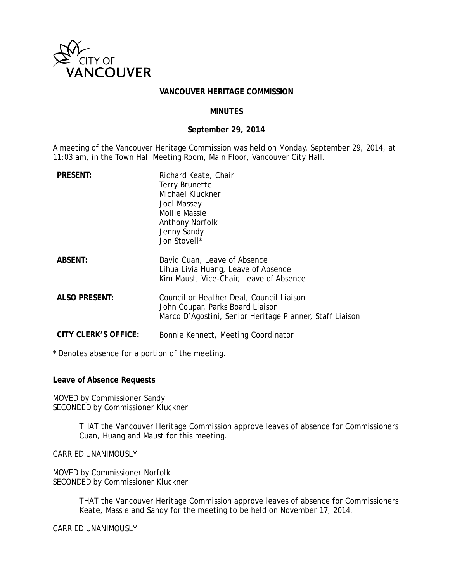

#### **VANCOUVER HERITAGE COMMISSION**

#### **MINUTES**

#### **September 29, 2014**

A meeting of the Vancouver Heritage Commission was held on Monday, September 29, 2014, at 11:03 am, in the Town Hall Meeting Room, Main Floor, Vancouver City Hall.

| <b>PRESENT:</b>             | Richard Keate, Chair<br><b>Terry Brunette</b><br>Michael Kluckner<br>Joel Massey<br><b>Mollie Massie</b><br><b>Anthony Norfolk</b><br>Jenny Sandy<br>Jon Stovell* |
|-----------------------------|-------------------------------------------------------------------------------------------------------------------------------------------------------------------|
| <b>ABSENT:</b>              | David Cuan, Leave of Absence<br>Lihua Livia Huang, Leave of Absence<br>Kim Maust, Vice-Chair, Leave of Absence                                                    |
| <b>ALSO PRESENT:</b>        | Councillor Heather Deal, Council Liaison<br>John Coupar, Parks Board Liaison<br>Marco D'Agostini, Senior Heritage Planner, Staff Liaison                          |
| <b>CITY CLERK'S OFFICE:</b> | Bonnie Kennett, Meeting Coordinator                                                                                                                               |

\* Denotes absence for a portion of the meeting.

**Leave of Absence Requests**

MOVED by Commissioner Sandy SECONDED by Commissioner Kluckner

> THAT the Vancouver Heritage Commission approve leaves of absence for Commissioners Cuan, Huang and Maust for this meeting.

CARRIED UNANIMOUSLY

MOVED by Commissioner Norfolk SECONDED by Commissioner Kluckner

> THAT the Vancouver Heritage Commission approve leaves of absence for Commissioners Keate, Massie and Sandy for the meeting to be held on November 17, 2014.

CARRIED UNANIMOUSLY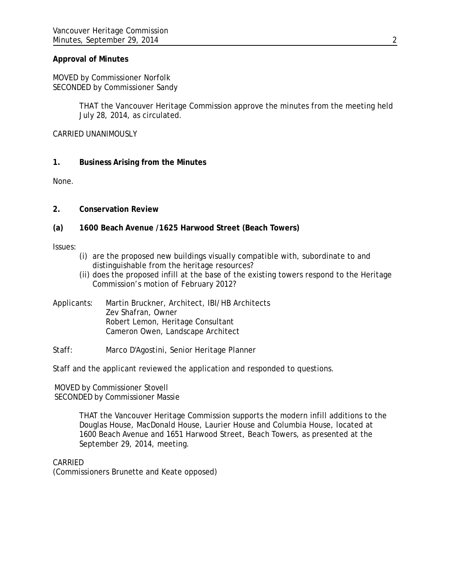# **Approval of Minutes**

MOVED by Commissioner Norfolk SECONDED by Commissioner Sandy

> THAT the Vancouver Heritage Commission approve the minutes from the meeting held July 28, 2014, as circulated.

CARRIED UNANIMOUSLY

### **1. Business Arising from the Minutes**

None.

# **2. Conservation Review**

# **(a) 1600 Beach Avenue /1625 Harwood Street (Beach Towers)**

Issues:

- (i) are the proposed new buildings visually compatible with, subordinate to and distinguishable from the heritage resources?
- (ii) does the proposed infill at the base of the existing towers respond to the Heritage Commission's motion of February 2012?
- Applicants: Martin Bruckner, Architect, IBI/HB Architects Zev Shafran, Owner Robert Lemon, Heritage Consultant Cameron Owen, Landscape Architect

### Staff: Marco D'Agostini, Senior Heritage Planner

Staff and the applicant reviewed the application and responded to questions.

MOVED by Commissioner Stovell SECONDED by Commissioner Massie

> THAT the Vancouver Heritage Commission supports the modern infill additions to the Douglas House, MacDonald House, Laurier House and Columbia House, located at 1600 Beach Avenue and 1651 Harwood Street, Beach Towers, as presented at the September 29, 2014, meeting.

CARRIED

(Commissioners Brunette and Keate opposed)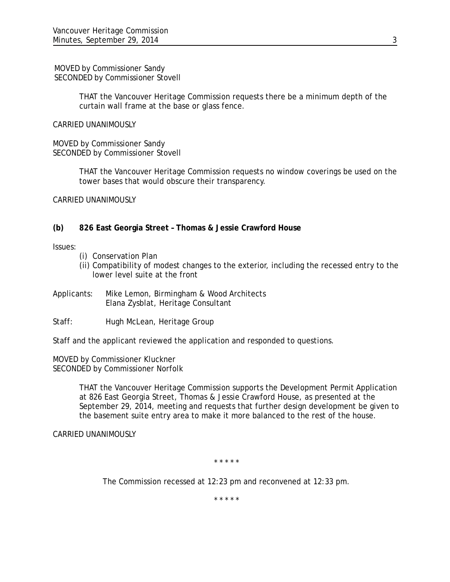MOVED by Commissioner Sandy SECONDED by Commissioner Stovell

> THAT the Vancouver Heritage Commission requests there be a minimum depth of the curtain wall frame at the base or glass fence.

CARRIED UNANIMOUSLY

MOVED by Commissioner Sandy SECONDED by Commissioner Stovell

> THAT the Vancouver Heritage Commission requests no window coverings be used on the tower bases that would obscure their transparency.

CARRIED UNANIMOUSLY

### **(b) 826 East Georgia Street – Thomas & Jessie Crawford House**

Issues:

- (i) Conservation Plan
- (ii) Compatibility of modest changes to the exterior, including the recessed entry to the lower level suite at the front
- Applicants: Mike Lemon, Birmingham & Wood Architects Elana Zysblat, Heritage Consultant
- Staff: Hugh McLean, Heritage Group

Staff and the applicant reviewed the application and responded to questions.

MOVED by Commissioner Kluckner SECONDED by Commissioner Norfolk

> THAT the Vancouver Heritage Commission supports the Development Permit Application at 826 East Georgia Street, Thomas & Jessie Crawford House, as presented at the September 29, 2014, meeting and requests that further design development be given to the basement suite entry area to make it more balanced to the rest of the house.

CARRIED UNANIMOUSLY

\* \* \* \* \*

The Commission recessed at 12:23 pm and reconvened at 12:33 pm.

\* \* \* \* \*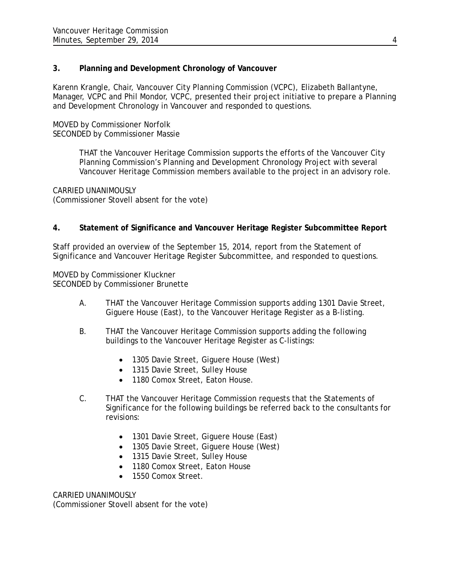# **3. Planning and Development Chronology of Vancouver**

Karenn Krangle, Chair, Vancouver City Planning Commission (VCPC), Elizabeth Ballantyne, Manager, VCPC and Phil Mondor, VCPC, presented their project initiative to prepare a Planning and Development Chronology in Vancouver and responded to questions.

MOVED by Commissioner Norfolk SECONDED by Commissioner Massie

> THAT the Vancouver Heritage Commission supports the efforts of the Vancouver City Planning Commission's Planning and Development Chronology Project with several Vancouver Heritage Commission members available to the project in an advisory role.

CARRIED UNANIMOUSLY (Commissioner Stovell absent for the vote)

# **4. Statement of Significance and Vancouver Heritage Register Subcommittee Report**

Staff provided an overview of the September 15, 2014, report from the Statement of Significance and Vancouver Heritage Register Subcommittee, and responded to questions.

MOVED by Commissioner Kluckner SECONDED by Commissioner Brunette

- A. THAT the Vancouver Heritage Commission supports adding 1301 Davie Street, Giguere House (East), to the Vancouver Heritage Register as a B-listing.
- B. THAT the Vancouver Heritage Commission supports adding the following buildings to the Vancouver Heritage Register as C-listings:
	- 1305 Davie Street, Giguere House (West)
	- 1315 Davie Street, Sulley House
	- 1180 Comox Street, Eaton House.
- C. THAT the Vancouver Heritage Commission requests that the Statements of Significance for the following buildings be referred back to the consultants for revisions:
	- 1301 Davie Street, Giguere House (East)
	- 1305 Davie Street, Giguere House (West)
	- 1315 Davie Street, Sulley House
	- 1180 Comox Street, Eaton House
	- 1550 Comox Street.

CARRIED UNANIMOUSLY (Commissioner Stovell absent for the vote)